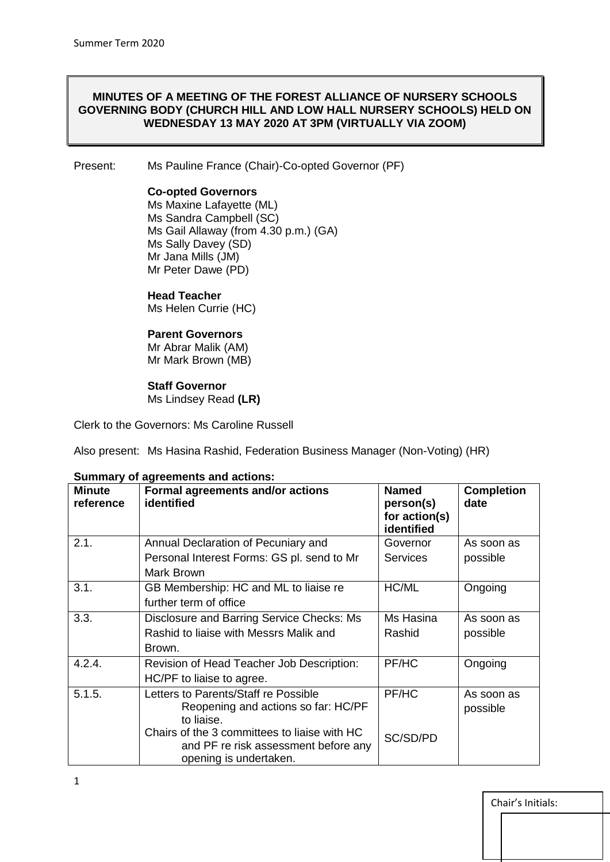## **MINUTES OF A MEETING OF THE FOREST ALLIANCE OF NURSERY SCHOOLS GOVERNING BODY (CHURCH HILL AND LOW HALL NURSERY SCHOOLS) HELD ON WEDNESDAY 13 MAY 2020 AT 3PM (VIRTUALLY VIA ZOOM)**

Present: Ms Pauline France (Chair)-Co-opted Governor (PF)

### **Co-opted Governors**

Ms Maxine Lafayette (ML) Ms Sandra Campbell (SC) Ms Gail Allaway (from 4.30 p.m.) (GA) Ms Sally Davey (SD) Mr Jana Mills (JM) Mr Peter Dawe (PD)

## **Head Teacher**

Ms Helen Currie (HC)

## **Parent Governors**

Mr Abrar Malik (AM) Mr Mark Brown (MB)

# **Staff Governor**

Ms Lindsey Read **(LR)**

Clerk to the Governors: Ms Caroline Russell

Also present: Ms Hasina Rashid, Federation Business Manager (Non-Voting) (HR)

| <b>Minute</b><br>reference | Formal agreements and/or actions<br>identified                                                                 | <b>Named</b><br>person(s)<br>for action(s)<br>identified | <b>Completion</b><br>date |
|----------------------------|----------------------------------------------------------------------------------------------------------------|----------------------------------------------------------|---------------------------|
| 2.1.                       | Annual Declaration of Pecuniary and                                                                            | Governor                                                 | As soon as                |
|                            | Personal Interest Forms: GS pl. send to Mr                                                                     | <b>Services</b>                                          | possible                  |
|                            | Mark Brown                                                                                                     |                                                          |                           |
| 3.1.                       | GB Membership: HC and ML to liaise re                                                                          | HC/ML                                                    | Ongoing                   |
|                            | further term of office                                                                                         |                                                          |                           |
| 3.3.                       | Disclosure and Barring Service Checks: Ms                                                                      | Ms Hasina                                                | As soon as                |
|                            | Rashid to liaise with Messrs Malik and                                                                         | Rashid                                                   | possible                  |
|                            | Brown.                                                                                                         |                                                          |                           |
| 4.2.4.                     | Revision of Head Teacher Job Description:                                                                      | PF/HC                                                    | Ongoing                   |
|                            | HC/PF to liaise to agree.                                                                                      |                                                          |                           |
| 5.1.5.                     | Letters to Parents/Staff re Possible                                                                           | PF/HC                                                    | As soon as                |
|                            | Reopening and actions so far: HC/PF<br>to liaise.                                                              |                                                          | possible                  |
|                            | Chairs of the 3 committees to liaise with HC<br>and PF re risk assessment before any<br>opening is undertaken. | SC/SD/PD                                                 |                           |

#### **Summary of agreements and actions:**

Chair's Initials: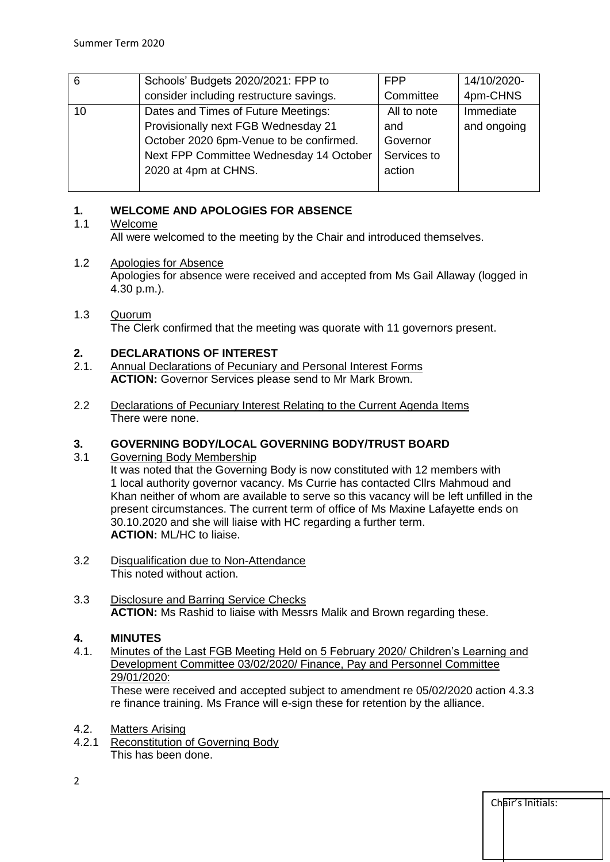| 6  | Schools' Budgets 2020/2021: FPP to      | <b>FPP</b>  | 14/10/2020- |
|----|-----------------------------------------|-------------|-------------|
|    | consider including restructure savings. | Committee   | 4pm-CHNS    |
| 10 | Dates and Times of Future Meetings:     | All to note | Immediate   |
|    | Provisionally next FGB Wednesday 21     | and         | and ongoing |
|    | October 2020 6pm-Venue to be confirmed. | Governor    |             |
|    | Next FPP Committee Wednesday 14 October | Services to |             |
|    | 2020 at 4pm at CHNS.                    | action      |             |
|    |                                         |             |             |

# **1. WELCOME AND APOLOGIES FOR ABSENCE**

# 1.1 Welcome

All were welcomed to the meeting by the Chair and introduced themselves.

# 1.2 Apologies for Absence

Apologies for absence were received and accepted from Ms Gail Allaway (logged in 4.30 p.m.).

### 1.3 Quorum The Clerk confirmed that the meeting was quorate with 11 governors present.

# **2. DECLARATIONS OF INTEREST**

- 2.1. Annual Declarations of Pecuniary and Personal Interest Forms **ACTION:** Governor Services please send to Mr Mark Brown.
- 2.2 Declarations of Pecuniary Interest Relating to the Current Agenda Items There were none.

# **3. GOVERNING BODY/LOCAL GOVERNING BODY/TRUST BOARD**

3.1 Governing Body Membership

It was noted that the Governing Body is now constituted with 12 members with 1 local authority governor vacancy. Ms Currie has contacted Cllrs Mahmoud and Khan neither of whom are available to serve so this vacancy will be left unfilled in the present circumstances. The current term of office of Ms Maxine Lafayette ends on 30.10.2020 and she will liaise with HC regarding a further term. **ACTION:** ML/HC to liaise.

- 3.2 Disqualification due to Non-Attendance This noted without action.
- 3.3 Disclosure and Barring Service Checks **ACTION:** Ms Rashid to liaise with Messrs Malik and Brown regarding these.

# **4. MINUTES**

4.1. Minutes of the Last FGB Meeting Held on 5 February 2020/ Children's Learning and Development Committee 03/02/2020/ Finance, Pay and Personnel Committee 29/01/2020:

These were received and accepted subject to amendment re 05/02/2020 action 4.3.3 re finance training. Ms France will e-sign these for retention by the alliance.

- 4.2. Matters Arising
- 4.2.1 Reconstitution of Governing Body This has been done.

Chair's Initials: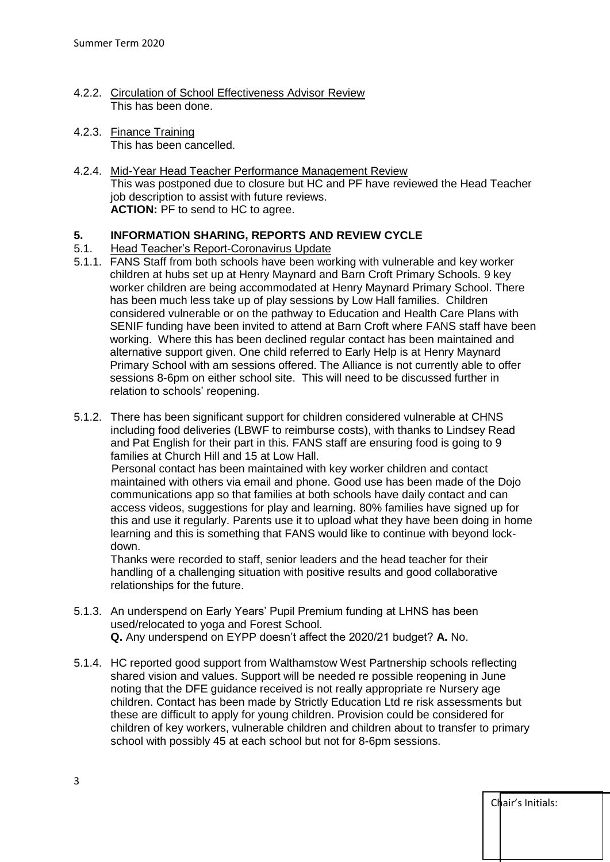- 4.2.2. Circulation of School Effectiveness Advisor Review This has been done.
- 4.2.3. Finance Training This has been cancelled.
- 4.2.4. Mid-Year Head Teacher Performance Management Review This was postponed due to closure but HC and PF have reviewed the Head Teacher job description to assist with future reviews. **ACTION:** PF to send to HC to agree.

# **5. INFORMATION SHARING, REPORTS AND REVIEW CYCLE**

## 5.1. Head Teacher's Report-Coronavirus Update

- 5.1.1. FANS Staff from both schools have been working with vulnerable and key worker children at hubs set up at Henry Maynard and Barn Croft Primary Schools. 9 key worker children are being accommodated at Henry Maynard Primary School. There has been much less take up of play sessions by Low Hall families. Children considered vulnerable or on the pathway to Education and Health Care Plans with SENIF funding have been invited to attend at Barn Croft where FANS staff have been working. Where this has been declined regular contact has been maintained and alternative support given. One child referred to Early Help is at Henry Maynard Primary School with am sessions offered. The Alliance is not currently able to offer sessions 8-6pm on either school site. This will need to be discussed further in relation to schools' reopening.
- 5.1.2. There has been significant support for children considered vulnerable at CHNS including food deliveries (LBWF to reimburse costs), with thanks to Lindsey Read and Pat English for their part in this. FANS staff are ensuring food is going to 9 families at Church Hill and 15 at Low Hall.

 Personal contact has been maintained with key worker children and contact maintained with others via email and phone. Good use has been made of the Dojo communications app so that families at both schools have daily contact and can access videos, suggestions for play and learning. 80% families have signed up for this and use it regularly. Parents use it to upload what they have been doing in home learning and this is something that FANS would like to continue with beyond lockdown.

Thanks were recorded to staff, senior leaders and the head teacher for their handling of a challenging situation with positive results and good collaborative relationships for the future.

- 5.1.3. An underspend on Early Years' Pupil Premium funding at LHNS has been used/relocated to yoga and Forest School. **Q.** Any underspend on EYPP doesn't affect the 2020/21 budget? **A.** No.
- 5.1.4. HC reported good support from Walthamstow West Partnership schools reflecting shared vision and values. Support will be needed re possible reopening in June noting that the DFE guidance received is not really appropriate re Nursery age children. Contact has been made by Strictly Education Ltd re risk assessments but these are difficult to apply for young children. Provision could be considered for children of key workers, vulnerable children and children about to transfer to primary school with possibly 45 at each school but not for 8-6pm sessions.

Chair's Initials: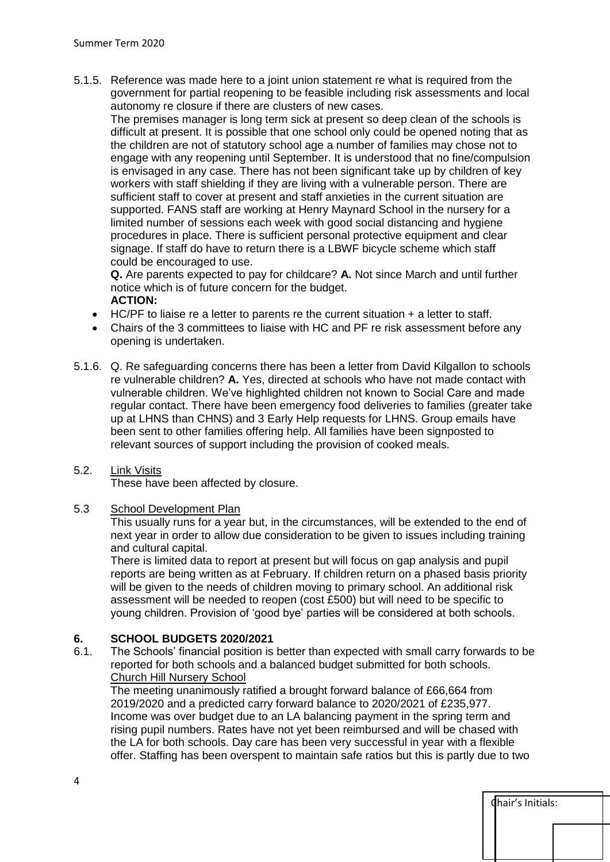5.1.5. Reference was made here to a joint union statement re what is required from the government for partial reopening to be feasible including risk assessments and local autonomy re closure if there are clusters of new cases.

The premises manager is long term sick at present so deep clean of the schools is difficult at present. It is possible that one school only could be opened noting that as the children are not of statutory school age a number of families may chose not to engage with any reopening until September. It is understood that no fine/compulsion is envisaged in any case. There has not been significant take up by children of key workers with staff shielding if they are living with a vulnerable person. There are sufficient staff to cover at present and staff anxieties in the current situation are supported. FANS staff are working at Henry Maynard School in the nursery for a limited number of sessions each week with good social distancing and hygiene procedures in place. There is sufficient personal protective equipment and clear signage. If staff do have to return there is a LBWF bicycle scheme which staff could be encouraged to use.

**Q.** Are parents expected to pay for childcare? **A.** Not since March and until further notice which is of future concern for the budget. **ACTION:** 

- HC/PF to liaise re a letter to parents re the current situation + a letter to staff.
- Chairs of the 3 committees to liaise with HC and PF re risk assessment before any opening is undertaken.
- 5.1.6. Q. Re safeguarding concerns there has been a letter from David Kilgallon to schools re vulnerable children? **A.** Yes, directed at schools who have not made contact with vulnerable children. We've highlighted children not known to Social Care and made regular contact. There have been emergency food deliveries to families (greater take up at LHNS than CHNS) and 3 Early Help requests for LHNS. Group emails have been sent to other families offering help. All families have been signposted to relevant sources of support including the provision of cooked meals.

#### 5.2. Link Visits

These have been affected by closure.

#### 5.3 School Development Plan

This usually runs for a year but, in the circumstances, will be extended to the end of next year in order to allow due consideration to be given to issues including training and cultural capital.

There is limited data to report at present but will focus on gap analysis and pupil reports are being written as at February. If children return on a phased basis priority will be given to the needs of children moving to primary school. An additional risk assessment will be needed to reopen (cost £500) but will need to be specific to young children. Provision of 'good bye' parties will be considered at both schools.

## **6. SCHOOL BUDGETS 2020/2021**

6.1. The Schools' financial position is better than expected with small carry forwards to be reported for both schools and a balanced budget submitted for both schools. Church Hill Nursery School

The meeting unanimously ratified a brought forward balance of £66,664 from 2019/2020 and a predicted carry forward balance to 2020/2021 of £235,977. Income was over budget due to an LA balancing payment in the spring term and rising pupil numbers. Rates have not yet been reimbursed and will be chased with the LA for both schools. Day care has been very successful in year with a flexible offer. Staffing has been overspent to maintain safe ratios but this is partly due to two

| Chair's Initials: |
|-------------------|
|                   |
|                   |
|                   |
|                   |
|                   |
|                   |
|                   |
|                   |
|                   |
|                   |
|                   |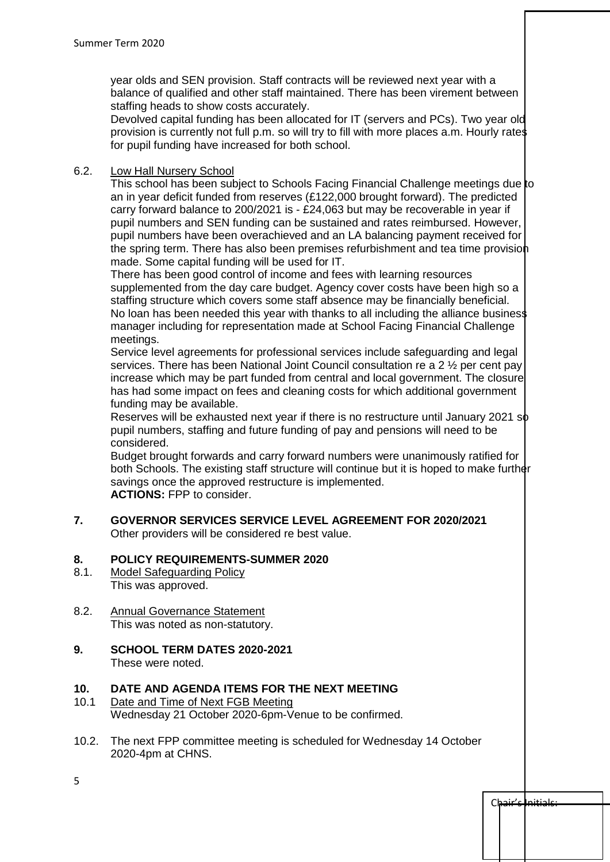year olds and SEN provision. Staff contracts will be reviewed next year with a balance of qualified and other staff maintained. There has been virement between staffing heads to show costs accurately.

Devolved capital funding has been allocated for IT (servers and PCs). Two year old provision is currently not full p.m. so will try to fill with more places a.m. Hourly rates for pupil funding have increased for both school.

## 6.2. Low Hall Nursery School

This school has been subject to Schools Facing Financial Challenge meetings due to an in year deficit funded from reserves (£122,000 brought forward). The predicted carry forward balance to 200/2021 is - £24,063 but may be recoverable in year if pupil numbers and SEN funding can be sustained and rates reimbursed. However, pupil numbers have been overachieved and an LA balancing payment received for the spring term. There has also been premises refurbishment and tea time provision made. Some capital funding will be used for IT.

There has been good control of income and fees with learning resources supplemented from the day care budget. Agency cover costs have been high so a staffing structure which covers some staff absence may be financially beneficial. No loan has been needed this year with thanks to all including the alliance business manager including for representation made at School Facing Financial Challenge meetings.

Service level agreements for professional services include safeguarding and legal services. There has been National Joint Council consultation re a 2 ½ per cent pay increase which may be part funded from central and local government. The closure has had some impact on fees and cleaning costs for which additional government funding may be available.

Reserves will be exhausted next year if there is no restructure until January 2021 so pupil numbers, staffing and future funding of pay and pensions will need to be considered.

Budget brought forwards and carry forward numbers were unanimously ratified for both Schools. The existing staff structure will continue but it is hoped to make further savings once the approved restructure is implemented. **ACTIONS:** FPP to consider.

**7. GOVERNOR SERVICES SERVICE LEVEL AGREEMENT FOR 2020/2021** Other providers will be considered re best value.

# **8. POLICY REQUIREMENTS-SUMMER 2020**

- 8.1. Model Safeguarding Policy This was approved.
- 8.2. Annual Governance Statement This was noted as non-statutory.
- **9. SCHOOL TERM DATES 2020-2021** These were noted.

# **10. DATE AND AGENDA ITEMS FOR THE NEXT MEETING**

- 10.1 Date and Time of Next FGB Meeting Wednesday 21 October 2020-6pm-Venue to be confirmed.
- 10.2. The next FPP committee meeting is scheduled for Wednesday 14 October 2020-4pm at CHNS.

Chair's Initials:

5